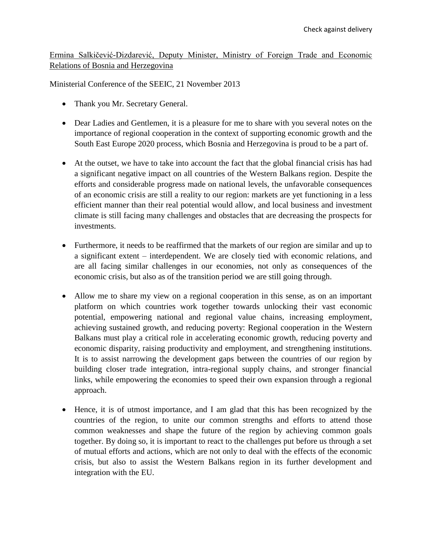Ermina Salkičević-Dizdarević, Deputy Minister, Ministry of Foreign Trade and Economic Relations of Bosnia and Herzegovina

Ministerial Conference of the SEEIC, 21 November 2013

- Thank you Mr. Secretary General.
- Dear Ladies and Gentlemen, it is a pleasure for me to share with you several notes on the importance of regional cooperation in the context of supporting economic growth and the South East Europe 2020 process, which Bosnia and Herzegovina is proud to be a part of.
- At the outset, we have to take into account the fact that the global financial crisis has had a significant negative impact on all countries of the Western Balkans region. Despite the efforts and considerable progress made on national levels, the unfavorable consequences of an economic crisis are still a reality to our region: markets are yet functioning in a less efficient manner than their real potential would allow, and local business and investment climate is still facing many challenges and obstacles that are decreasing the prospects for investments.
- Furthermore, it needs to be reaffirmed that the markets of our region are similar and up to a significant extent – interdependent. We are closely tied with economic relations, and are all facing similar challenges in our economies, not only as consequences of the economic crisis, but also as of the transition period we are still going through.
- Allow me to share my view on a regional cooperation in this sense, as on an important platform on which countries work together towards unlocking their vast economic potential, empowering national and regional value chains, increasing employment, achieving sustained growth, and reducing poverty: Regional cooperation in the Western Balkans must play a critical role in accelerating economic growth, reducing poverty and economic disparity, raising productivity and employment, and strengthening institutions. It is to assist narrowing the development gaps between the countries of our region by building closer trade integration, intra-regional supply chains, and stronger financial links, while empowering the economies to speed their own expansion through a regional approach.
- Hence, it is of utmost importance, and I am glad that this has been recognized by the countries of the region, to unite our common strengths and efforts to attend those common weaknesses and shape the future of the region by achieving common goals together. By doing so, it is important to react to the challenges put before us through a set of mutual efforts and actions, which are not only to deal with the effects of the economic crisis, but also to assist the Western Balkans region in its further development and integration with the EU.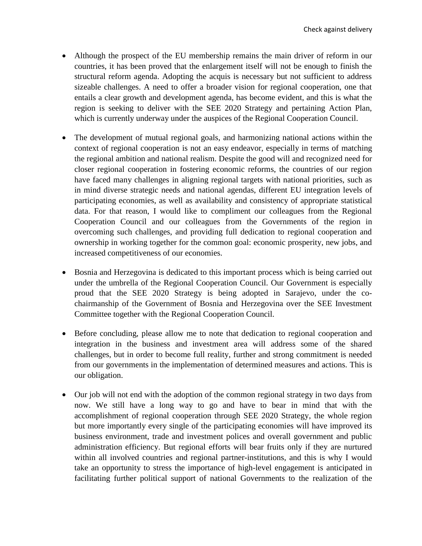- Although the prospect of the EU membership remains the main driver of reform in our countries, it has been proved that the enlargement itself will not be enough to finish the structural reform agenda. Adopting the acquis is necessary but not sufficient to address sizeable challenges. A need to offer a broader vision for regional cooperation, one that entails a clear growth and development agenda, has become evident, and this is what the region is seeking to deliver with the SEE 2020 Strategy and pertaining Action Plan, which is currently underway under the auspices of the Regional Cooperation Council.
- The development of mutual regional goals, and harmonizing national actions within the context of regional cooperation is not an easy endeavor, especially in terms of matching the regional ambition and national realism. Despite the good will and recognized need for closer regional cooperation in fostering economic reforms, the countries of our region have faced many challenges in aligning regional targets with national priorities, such as in mind diverse strategic needs and national agendas, different EU integration levels of participating economies, as well as availability and consistency of appropriate statistical data. For that reason, I would like to compliment our colleagues from the Regional Cooperation Council and our colleagues from the Governments of the region in overcoming such challenges, and providing full dedication to regional cooperation and ownership in working together for the common goal: economic prosperity, new jobs, and increased competitiveness of our economies.
- Bosnia and Herzegovina is dedicated to this important process which is being carried out under the umbrella of the Regional Cooperation Council. Our Government is especially proud that the SEE 2020 Strategy is being adopted in Sarajevo, under the cochairmanship of the Government of Bosnia and Herzegovina over the SEE Investment Committee together with the Regional Cooperation Council.
- Before concluding, please allow me to note that dedication to regional cooperation and integration in the business and investment area will address some of the shared challenges, but in order to become full reality, further and strong commitment is needed from our governments in the implementation of determined measures and actions. This is our obligation.
- Our job will not end with the adoption of the common regional strategy in two days from now. We still have a long way to go and have to bear in mind that with the accomplishment of regional cooperation through SEE 2020 Strategy, the whole region but more importantly every single of the participating economies will have improved its business environment, trade and investment polices and overall government and public administration efficiency. But regional efforts will bear fruits only if they are nurtured within all involved countries and regional partner-institutions, and this is why I would take an opportunity to stress the importance of high-level engagement is anticipated in facilitating further political support of national Governments to the realization of the